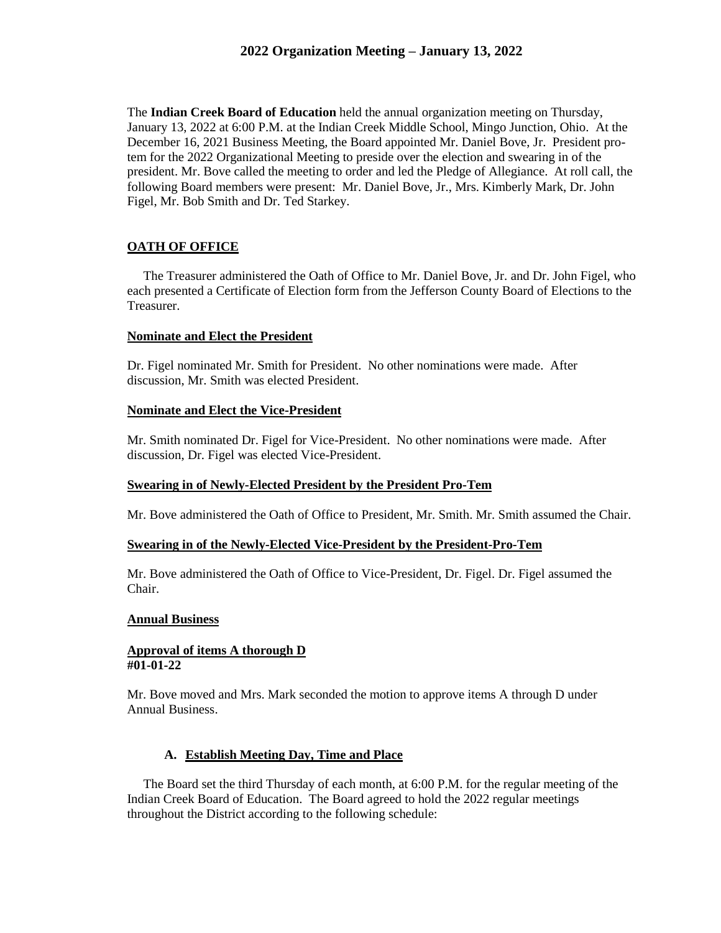The **Indian Creek Board of Education** held the annual organization meeting on Thursday, January 13, 2022 at 6:00 P.M. at the Indian Creek Middle School, Mingo Junction, Ohio. At the December 16, 2021 Business Meeting, the Board appointed Mr. Daniel Bove, Jr. President protem for the 2022 Organizational Meeting to preside over the election and swearing in of the president. Mr. Bove called the meeting to order and led the Pledge of Allegiance. At roll call, the following Board members were present: Mr. Daniel Bove, Jr., Mrs. Kimberly Mark, Dr. John Figel, Mr. Bob Smith and Dr. Ted Starkey.

# **OATH OF OFFICE**

 The Treasurer administered the Oath of Office to Mr. Daniel Bove, Jr. and Dr. John Figel, who each presented a Certificate of Election form from the Jefferson County Board of Elections to the Treasurer.

## **Nominate and Elect the President**

Dr. Figel nominated Mr. Smith for President. No other nominations were made. After discussion, Mr. Smith was elected President.

## **Nominate and Elect the Vice-President**

Mr. Smith nominated Dr. Figel for Vice-President. No other nominations were made. After discussion, Dr. Figel was elected Vice-President.

### **Swearing in of Newly-Elected President by the President Pro-Tem**

Mr. Bove administered the Oath of Office to President, Mr. Smith. Mr. Smith assumed the Chair.

### **Swearing in of the Newly-Elected Vice-President by the President-Pro-Tem**

Mr. Bove administered the Oath of Office to Vice-President, Dr. Figel. Dr. Figel assumed the Chair.

### **Annual Business**

#### **Approval of items A thorough D #01-01-22**

Mr. Bove moved and Mrs. Mark seconded the motion to approve items A through D under Annual Business.

# **A. Establish Meeting Day, Time and Place**

 The Board set the third Thursday of each month, at 6:00 P.M. for the regular meeting of the Indian Creek Board of Education. The Board agreed to hold the 2022 regular meetings throughout the District according to the following schedule: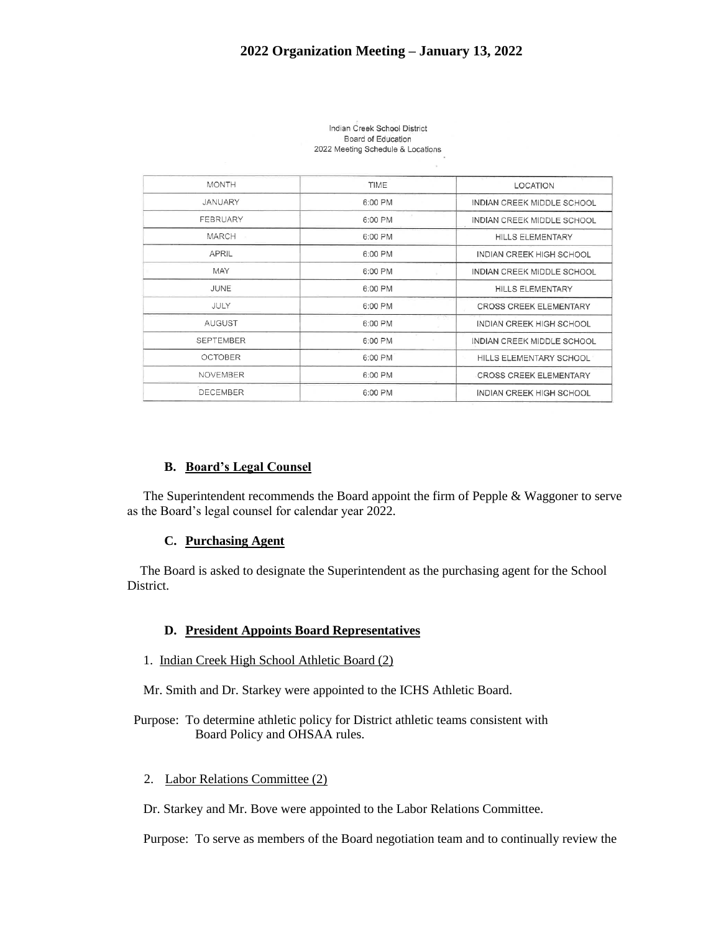| <b>MONTH</b>     | TIME    | <b>LOCATION</b>                              |
|------------------|---------|----------------------------------------------|
| JANUARY          | 6:00 PM | INDIAN CREEK MIDDLE SCHOOL                   |
| <b>FEBRUARY</b>  | 6:00 PM | INDIAN CREEK MIDDLE SCHOOL                   |
| MARCH            | 6:00 PM | <b>HILLS ELEMENTARY</b>                      |
| <b>APRIL</b>     | 6:00 PM | <b>INDIAN CREEK HIGH SCHOOL</b>              |
| MAY              | 6:00 PM | INDIAN CREEK MIDDLE SCHOOL                   |
| JUNE             | 6:00 PM | HILLS ELEMENTARY                             |
| JULY             | 6:00 PM | <b>CROSS CREEK ELEMENTARY</b>                |
| AUGUST           | 6:00 PM | $10 - 10$<br><b>INDIAN CREEK HIGH SCHOOL</b> |
| <b>SEPTEMBER</b> | 6:00 PM | INDIAN CREEK MIDDLE SCHOOL                   |
| <b>OCTOBER</b>   | 6:00 PM | HILLS ELEMENTARY SCHOOL                      |
| <b>NOVEMBER</b>  | 6:00 PM | <b>CROSS CREEK ELEMENTARY</b>                |
| <b>DECEMBER</b>  | 6:00 PM | <b>INDIAN CREEK HIGH SCHOOL</b>              |

Indian Creek School District Board of Education 2022 Meeting Schedule & Locations

### **B. Board's Legal Counsel**

 The Superintendent recommends the Board appoint the firm of Pepple & Waggoner to serve as the Board's legal counsel for calendar year 2022.

#### **C. Purchasing Agent**

 The Board is asked to designate the Superintendent as the purchasing agent for the School District.

#### **D. President Appoints Board Representatives**

1. Indian Creek High School Athletic Board (2)

Mr. Smith and Dr. Starkey were appointed to the ICHS Athletic Board.

 Purpose: To determine athletic policy for District athletic teams consistent with Board Policy and OHSAA rules.

### 2. Labor Relations Committee (2)

Dr. Starkey and Mr. Bove were appointed to the Labor Relations Committee.

Purpose: To serve as members of the Board negotiation team and to continually review the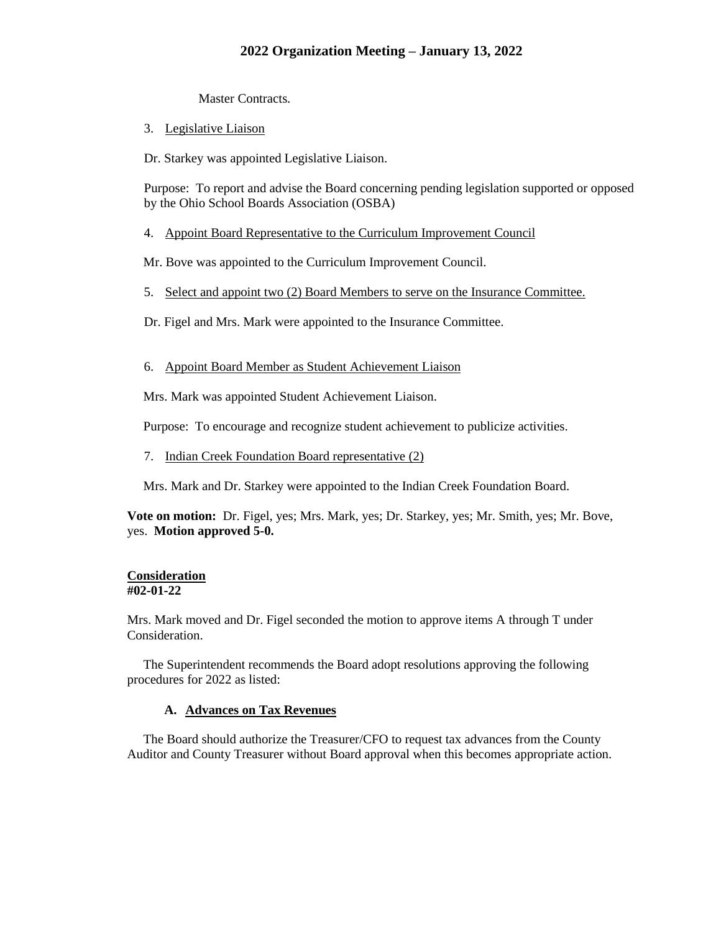Master Contracts.

3. Legislative Liaison

Dr. Starkey was appointed Legislative Liaison.

Purpose: To report and advise the Board concerning pending legislation supported or opposed by the Ohio School Boards Association (OSBA)

4. Appoint Board Representative to the Curriculum Improvement Council

Mr. Bove was appointed to the Curriculum Improvement Council.

- 5. Select and appoint two (2) Board Members to serve on the Insurance Committee.
- Dr. Figel and Mrs. Mark were appointed to the Insurance Committee.
- 6. Appoint Board Member as Student Achievement Liaison

Mrs. Mark was appointed Student Achievement Liaison.

Purpose: To encourage and recognize student achievement to publicize activities.

7. Indian Creek Foundation Board representative (2)

Mrs. Mark and Dr. Starkey were appointed to the Indian Creek Foundation Board.

**Vote on motion:** Dr. Figel, yes; Mrs. Mark, yes; Dr. Starkey, yes; Mr. Smith, yes; Mr. Bove, yes. **Motion approved 5-0.**

#### **Consideration #02-01-22**

Mrs. Mark moved and Dr. Figel seconded the motion to approve items A through T under Consideration.

 The Superintendent recommends the Board adopt resolutions approving the following procedures for 2022 as listed:

### **A. Advances on Tax Revenues**

 The Board should authorize the Treasurer/CFO to request tax advances from the County Auditor and County Treasurer without Board approval when this becomes appropriate action.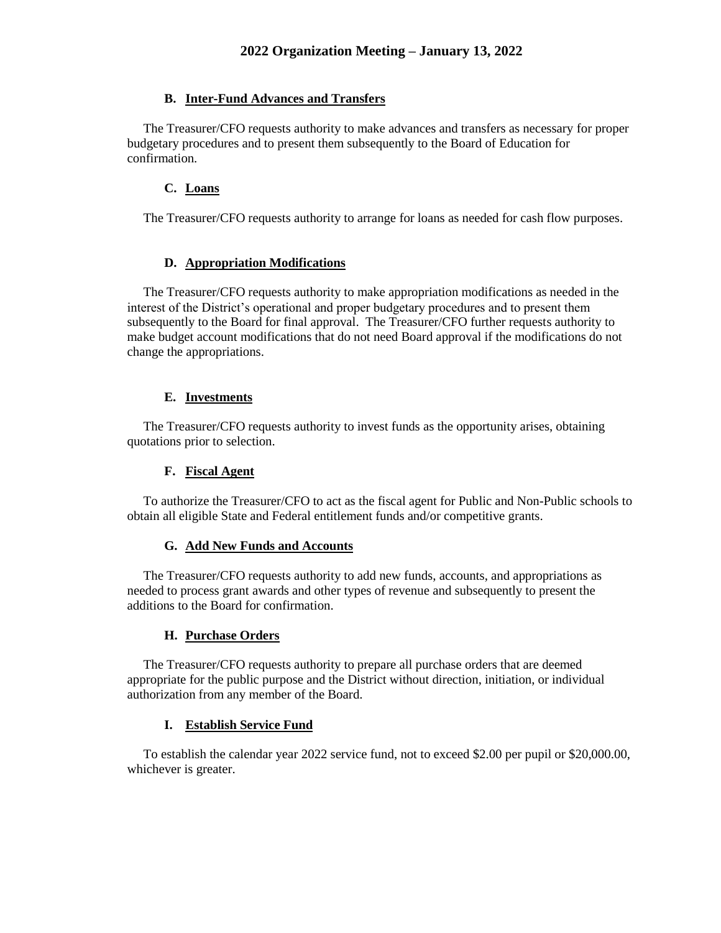# **B. Inter-Fund Advances and Transfers**

 The Treasurer/CFO requests authority to make advances and transfers as necessary for proper budgetary procedures and to present them subsequently to the Board of Education for confirmation.

# **C. Loans**

The Treasurer/CFO requests authority to arrange for loans as needed for cash flow purposes.

# **D. Appropriation Modifications**

 The Treasurer/CFO requests authority to make appropriation modifications as needed in the interest of the District's operational and proper budgetary procedures and to present them subsequently to the Board for final approval. The Treasurer/CFO further requests authority to make budget account modifications that do not need Board approval if the modifications do not change the appropriations.

## **E. Investments**

 The Treasurer/CFO requests authority to invest funds as the opportunity arises, obtaining quotations prior to selection.

## **F. Fiscal Agent**

 To authorize the Treasurer/CFO to act as the fiscal agent for Public and Non-Public schools to obtain all eligible State and Federal entitlement funds and/or competitive grants.

### **G. Add New Funds and Accounts**

 The Treasurer/CFO requests authority to add new funds, accounts, and appropriations as needed to process grant awards and other types of revenue and subsequently to present the additions to the Board for confirmation.

### **H. Purchase Orders**

 The Treasurer/CFO requests authority to prepare all purchase orders that are deemed appropriate for the public purpose and the District without direction, initiation, or individual authorization from any member of the Board.

### **I. Establish Service Fund**

 To establish the calendar year 2022 service fund, not to exceed \$2.00 per pupil or \$20,000.00, whichever is greater.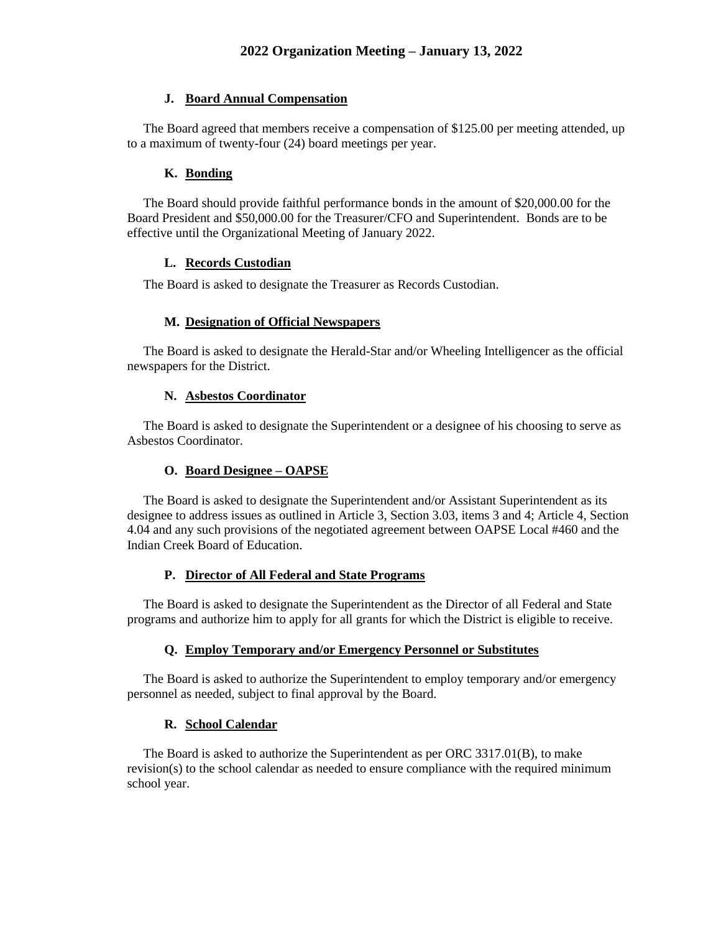### **J. Board Annual Compensation**

 The Board agreed that members receive a compensation of \$125.00 per meeting attended, up to a maximum of twenty-four (24) board meetings per year.

#### **K. Bonding**

 The Board should provide faithful performance bonds in the amount of \$20,000.00 for the Board President and \$50,000.00 for the Treasurer/CFO and Superintendent. Bonds are to be effective until the Organizational Meeting of January 2022.

#### **L. Records Custodian**

The Board is asked to designate the Treasurer as Records Custodian.

#### **M. Designation of Official Newspapers**

 The Board is asked to designate the Herald-Star and/or Wheeling Intelligencer as the official newspapers for the District.

### **N. Asbestos Coordinator**

 The Board is asked to designate the Superintendent or a designee of his choosing to serve as Asbestos Coordinator.

#### **O. Board Designee – OAPSE**

 The Board is asked to designate the Superintendent and/or Assistant Superintendent as its designee to address issues as outlined in Article 3, Section 3.03, items 3 and 4; Article 4, Section 4.04 and any such provisions of the negotiated agreement between OAPSE Local #460 and the Indian Creek Board of Education.

#### **P. Director of All Federal and State Programs**

 The Board is asked to designate the Superintendent as the Director of all Federal and State programs and authorize him to apply for all grants for which the District is eligible to receive.

#### **Q. Employ Temporary and/or Emergency Personnel or Substitutes**

 The Board is asked to authorize the Superintendent to employ temporary and/or emergency personnel as needed, subject to final approval by the Board.

#### **R. School Calendar**

 The Board is asked to authorize the Superintendent as per ORC 3317.01(B), to make revision(s) to the school calendar as needed to ensure compliance with the required minimum school year.